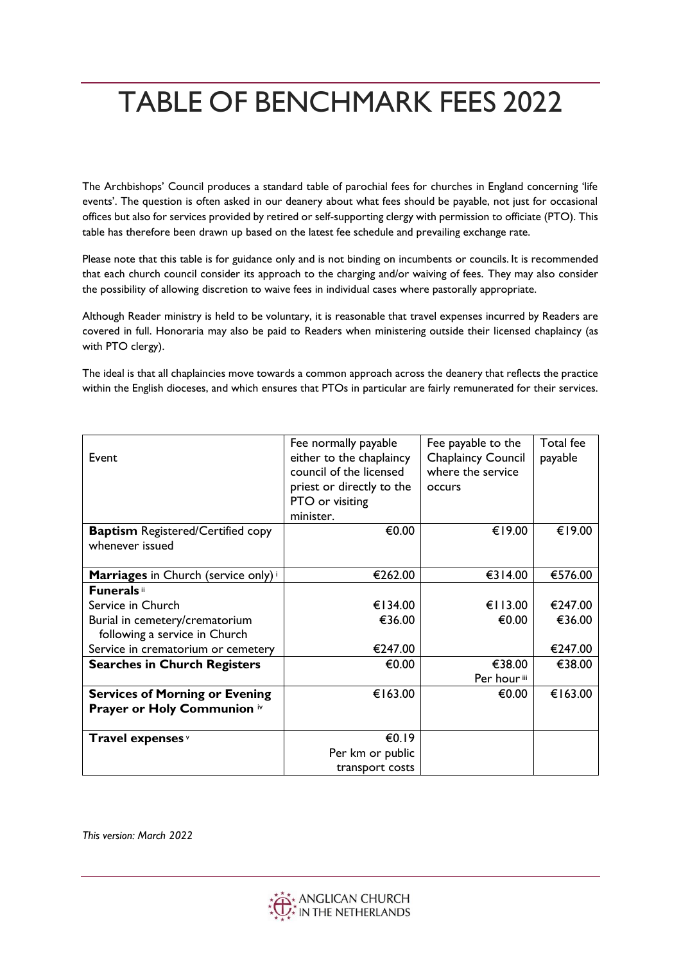## TABLE OF BENCHMARK FEES 2022

The Archbishops' Council produces a standard table of parochial fees for churches in England concerning 'life events'. The question is often asked in our deanery about what fees should be payable, not just for occasional offices but also for services provided by retired or self-supporting clergy with permission to officiate (PTO). This table has therefore been drawn up based on the latest fee schedule and prevailing exchange rate.

Please note that this table is for guidance only and is not binding on incumbents or councils. It is recommended that each church council consider its approach to the charging and/or waiving of fees. They may also consider the possibility of allowing discretion to waive fees in individual cases where pastorally appropriate.

Although Reader ministry is held to be voluntary, it is reasonable that travel expenses incurred by Readers are covered in full. Honoraria may also be paid to Readers when ministering outside their licensed chaplaincy (as with PTO clergy).

The ideal is that all chaplaincies move towards a common approach across the deanery that reflects the practice within the English dioceses, and which ensures that PTOs in particular are fairly remunerated for their services.

|                                                 | Fee normally payable      | Fee payable to the        | Total fee |
|-------------------------------------------------|---------------------------|---------------------------|-----------|
| Event                                           | either to the chaplaincy  | <b>Chaplaincy Council</b> | payable   |
|                                                 | council of the licensed   | where the service         |           |
|                                                 | priest or directly to the | <b>OCCULS</b>             |           |
|                                                 | PTO or visiting           |                           |           |
|                                                 | minister.                 |                           |           |
| <b>Baptism Registered/Certified copy</b>        | €0.00                     | €19.00                    | €19.00    |
| whenever issued                                 |                           |                           |           |
|                                                 |                           |                           |           |
| Marriages in Church (service only) <sup>i</sup> | €262.00                   | €314.00                   | €576.00   |
| <b>Funerals</b> ii                              |                           |                           |           |
| Service in Church                               | €134.00                   | € $113.00$                | €247.00   |
| Burial in cemetery/crematorium                  | €36.00                    | €0.00                     | €36.00    |
| following a service in Church                   |                           |                           |           |
| Service in crematorium or cemetery              | €247.00                   |                           | €247.00   |
| <b>Searches in Church Registers</b>             | €0.00                     | €38.00                    | €38.00    |
|                                                 |                           | Per hour <sup>iii</sup>   |           |
| <b>Services of Morning or Evening</b>           | €163.00                   | €0.00                     | €163.00   |
| Prayer or Holy Communion iv                     |                           |                           |           |
|                                                 |                           |                           |           |
| Travel expenses v                               | €0.19                     |                           |           |
|                                                 | Per km or public          |                           |           |
|                                                 | transport costs           |                           |           |

*This version: March 2022*